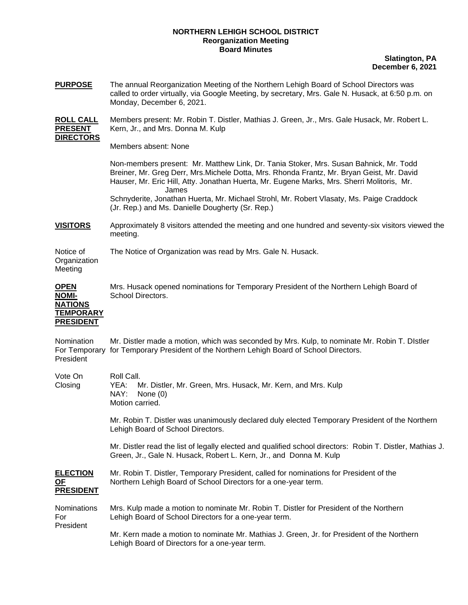## **NORTHERN LEHIGH SCHOOL DISTRICT Reorganization Meeting Board Minutes**

## **Slatington, PA December 6, 2021**

| <b>PURPOSE</b>                                                                        | The annual Reorganization Meeting of the Northern Lehigh Board of School Directors was<br>called to order virtually, via Google Meeting, by secretary, Mrs. Gale N. Husack, at 6:50 p.m. on<br>Monday, December 6, 2021.                                                                   |  |  |  |
|---------------------------------------------------------------------------------------|--------------------------------------------------------------------------------------------------------------------------------------------------------------------------------------------------------------------------------------------------------------------------------------------|--|--|--|
| <u>ROLL CALL</u><br><b>PRESENT</b><br><b>DIRECTORS</b>                                | Members present: Mr. Robin T. Distler, Mathias J. Green, Jr., Mrs. Gale Husack, Mr. Robert L.<br>Kern, Jr., and Mrs. Donna M. Kulp                                                                                                                                                         |  |  |  |
|                                                                                       | Members absent: None                                                                                                                                                                                                                                                                       |  |  |  |
|                                                                                       | Non-members present: Mr. Matthew Link, Dr. Tania Stoker, Mrs. Susan Bahnick, Mr. Todd<br>Breiner, Mr. Greg Derr, Mrs. Michele Dotta, Mrs. Rhonda Frantz, Mr. Bryan Geist, Mr. David<br>Hauser, Mr. Eric Hill, Atty. Jonathan Huerta, Mr. Eugene Marks, Mrs. Sherri Molitoris, Mr.<br>James |  |  |  |
|                                                                                       | Schnyderite, Jonathan Huerta, Mr. Michael Strohl, Mr. Robert Vlasaty, Ms. Paige Craddock<br>(Jr. Rep.) and Ms. Danielle Dougherty (Sr. Rep.)                                                                                                                                               |  |  |  |
| <u>VISITORS</u>                                                                       | Approximately 8 visitors attended the meeting and one hundred and seventy-six visitors viewed the<br>meeting.                                                                                                                                                                              |  |  |  |
| Notice of<br>Organization<br>Meeting                                                  | The Notice of Organization was read by Mrs. Gale N. Husack.                                                                                                                                                                                                                                |  |  |  |
| <b>OPEN</b><br><b>NOMI-</b><br><b>NATIONS</b><br><b>TEMPORARY</b><br><b>PRESIDENT</b> | Mrs. Husack opened nominations for Temporary President of the Northern Lehigh Board of<br>School Directors.                                                                                                                                                                                |  |  |  |
| Nomination<br>President                                                               | Mr. Distler made a motion, which was seconded by Mrs. Kulp, to nominate Mr. Robin T. DIstler<br>For Temporary for Temporary President of the Northern Lehigh Board of School Directors.                                                                                                    |  |  |  |
| Vote On<br>Closing                                                                    | Roll Call.<br>Mr. Distler, Mr. Green, Mrs. Husack, Mr. Kern, and Mrs. Kulp<br>YEA:<br>NAY:<br>None $(0)$<br>Motion carried.                                                                                                                                                                |  |  |  |
|                                                                                       | Mr. Robin T. Distler was unanimously declared duly elected Temporary President of the Northern<br>Lehigh Board of School Directors.                                                                                                                                                        |  |  |  |
|                                                                                       | Mr. Distler read the list of legally elected and qualified school directors: Robin T. Distler, Mathias J.<br>Green, Jr., Gale N. Husack, Robert L. Kern, Jr., and Donna M. Kulp                                                                                                            |  |  |  |
| <u>ELECTION</u><br>ОF<br><b>PRESIDENT</b>                                             | Mr. Robin T. Distler, Temporary President, called for nominations for President of the<br>Northern Lehigh Board of School Directors for a one-year term.                                                                                                                                   |  |  |  |
| Nominations<br>For<br>President                                                       | Mrs. Kulp made a motion to nominate Mr. Robin T. Distler for President of the Northern<br>Lehigh Board of School Directors for a one-year term.                                                                                                                                            |  |  |  |
|                                                                                       | Mr. Kern made a motion to nominate Mr. Mathias J. Green, Jr. for President of the Northern<br>Lehigh Board of Directors for a one-year term.                                                                                                                                               |  |  |  |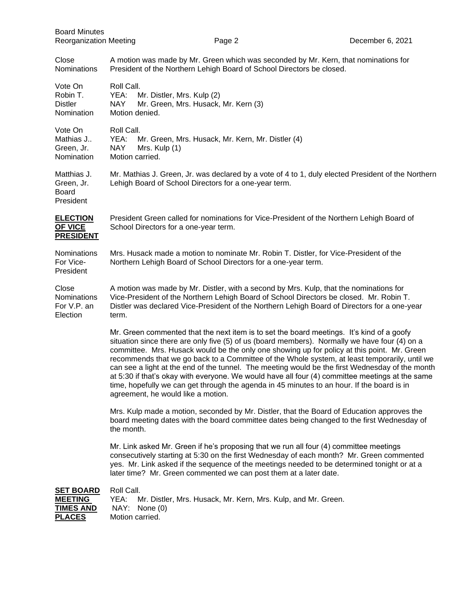| <b>Board Minutes</b><br><b>Reorganization Meeting</b>                   |                                                                                                                                                                                                                                                                                                                                                                                                                                                                                                                                                                                                                                                                                                                                      | Page 2                                                        | December 6, 2021 |  |  |
|-------------------------------------------------------------------------|--------------------------------------------------------------------------------------------------------------------------------------------------------------------------------------------------------------------------------------------------------------------------------------------------------------------------------------------------------------------------------------------------------------------------------------------------------------------------------------------------------------------------------------------------------------------------------------------------------------------------------------------------------------------------------------------------------------------------------------|---------------------------------------------------------------|------------------|--|--|
| Close<br><b>Nominations</b>                                             | A motion was made by Mr. Green which was seconded by Mr. Kern, that nominations for<br>President of the Northern Lehigh Board of School Directors be closed.                                                                                                                                                                                                                                                                                                                                                                                                                                                                                                                                                                         |                                                               |                  |  |  |
| Vote On<br>Robin T.<br><b>Distler</b><br>Nomination                     | Roll Call.<br>YEA:<br>Mr. Distler, Mrs. Kulp (2)<br><b>NAY</b><br>Mr. Green, Mrs. Husack, Mr. Kern (3)<br>Motion denied.                                                                                                                                                                                                                                                                                                                                                                                                                                                                                                                                                                                                             |                                                               |                  |  |  |
| Vote On<br>Mathias J<br>Green, Jr.<br>Nomination                        | Roll Call.<br>YEA:<br>Mr. Green, Mrs. Husack, Mr. Kern, Mr. Distler (4)<br><b>NAY</b><br>Mrs. Kulp (1)<br>Motion carried.                                                                                                                                                                                                                                                                                                                                                                                                                                                                                                                                                                                                            |                                                               |                  |  |  |
| Matthias J.<br>Green, Jr.<br><b>Board</b><br>President                  | Mr. Mathias J. Green, Jr. was declared by a vote of 4 to 1, duly elected President of the Northern<br>Lehigh Board of School Directors for a one-year term.                                                                                                                                                                                                                                                                                                                                                                                                                                                                                                                                                                          |                                                               |                  |  |  |
| <b>ELECTION</b><br>OF VICE<br><b>PRESIDENT</b>                          | President Green called for nominations for Vice-President of the Northern Lehigh Board of<br>School Directors for a one-year term.                                                                                                                                                                                                                                                                                                                                                                                                                                                                                                                                                                                                   |                                                               |                  |  |  |
| Nominations<br>For Vice-<br>President                                   | Mrs. Husack made a motion to nominate Mr. Robin T. Distler, for Vice-President of the<br>Northern Lehigh Board of School Directors for a one-year term.                                                                                                                                                                                                                                                                                                                                                                                                                                                                                                                                                                              |                                                               |                  |  |  |
| Close<br>Nominations<br>For V.P. an<br>Election                         | A motion was made by Mr. Distler, with a second by Mrs. Kulp, that the nominations for<br>Vice-President of the Northern Lehigh Board of School Directors be closed. Mr. Robin T.<br>Distler was declared Vice-President of the Northern Lehigh Board of Directors for a one-year<br>term.                                                                                                                                                                                                                                                                                                                                                                                                                                           |                                                               |                  |  |  |
|                                                                         | Mr. Green commented that the next item is to set the board meetings. It's kind of a goofy<br>situation since there are only five (5) of us (board members). Normally we have four (4) on a<br>committee. Mrs. Husack would be the only one showing up for policy at this point. Mr. Green<br>recommends that we go back to a Committee of the Whole system, at least temporarily, until we<br>can see a light at the end of the tunnel. The meeting would be the first Wednesday of the month<br>at 5:30 if that's okay with everyone. We would have all four (4) committee meetings at the same<br>time, hopefully we can get through the agenda in 45 minutes to an hour. If the board is in<br>agreement, he would like a motion. |                                                               |                  |  |  |
|                                                                         | Mrs. Kulp made a motion, seconded by Mr. Distler, that the Board of Education approves the<br>board meeting dates with the board committee dates being changed to the first Wednesday of<br>the month.                                                                                                                                                                                                                                                                                                                                                                                                                                                                                                                               |                                                               |                  |  |  |
|                                                                         | Mr. Link asked Mr. Green if he's proposing that we run all four (4) committee meetings<br>consecutively starting at 5:30 on the first Wednesday of each month? Mr. Green commented<br>yes. Mr. Link asked if the sequence of the meetings needed to be determined tonight or at a<br>later time? Mr. Green commented we can post them at a later date.                                                                                                                                                                                                                                                                                                                                                                               |                                                               |                  |  |  |
| <b>SET BOARD</b><br><b>MEETING</b><br><b>TIMES AND</b><br><b>PLACES</b> | Roll Call.<br>YEA:<br>NAY: None (0)<br>Motion carried.                                                                                                                                                                                                                                                                                                                                                                                                                                                                                                                                                                                                                                                                               | Mr. Distler, Mrs. Husack, Mr. Kern, Mrs. Kulp, and Mr. Green. |                  |  |  |